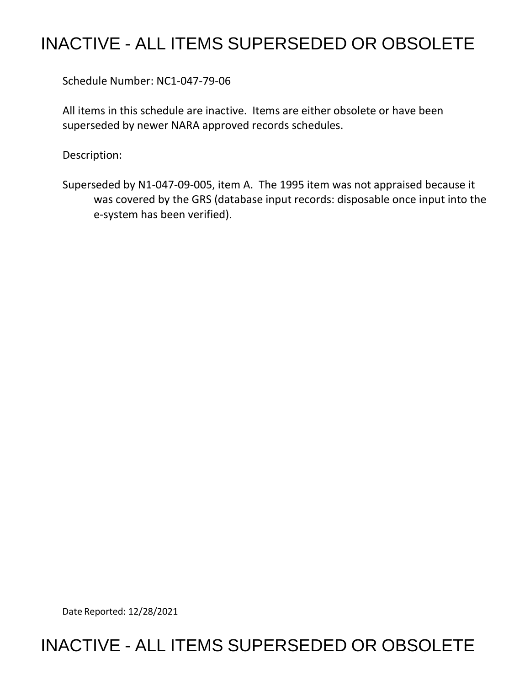# INACTIVE - ALL ITEMS SUPERSEDED OR OBSOLETE

Schedule Number: NC1-047-79-06

 All items in this schedule are inactive. Items are either obsolete or have been superseded by newer NARA approved records schedules.

Description:

 Superseded by N1-047-09-005, item A. The 1995 item was not appraised because it was covered by the GRS (database input records: disposable once input into the e-system has been verified).

Date Reported: 12/28/2021

## INACTIVE - ALL ITEMS SUPERSEDED OR OBSOLETE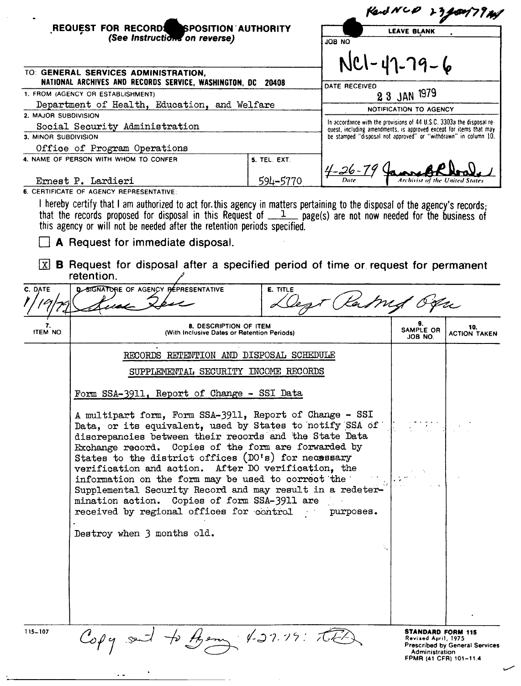|                                                                      | REQUEST FOR RECORDS SPOSITION AUTHORITY<br>(See Instructions on reverse)                                                                                                                                                                                                                                                                                                                                                                                                                                                                                                                                                                                      |                 |                                                                                                                                             |                                                                                      |                                       |
|----------------------------------------------------------------------|---------------------------------------------------------------------------------------------------------------------------------------------------------------------------------------------------------------------------------------------------------------------------------------------------------------------------------------------------------------------------------------------------------------------------------------------------------------------------------------------------------------------------------------------------------------------------------------------------------------------------------------------------------------|-----------------|---------------------------------------------------------------------------------------------------------------------------------------------|--------------------------------------------------------------------------------------|---------------------------------------|
|                                                                      |                                                                                                                                                                                                                                                                                                                                                                                                                                                                                                                                                                                                                                                               |                 | <b>LEAVE BLANK</b>                                                                                                                          |                                                                                      |                                       |
|                                                                      |                                                                                                                                                                                                                                                                                                                                                                                                                                                                                                                                                                                                                                                               |                 | <b>ON 80L</b>                                                                                                                               |                                                                                      |                                       |
|                                                                      | TO: GENERAL SERVICES ADMINISTRATION,                                                                                                                                                                                                                                                                                                                                                                                                                                                                                                                                                                                                                          |                 |                                                                                                                                             | $NCl - 47 - 79 - 6$                                                                  |                                       |
| NATIONAL ARCHIVES AND RECORDS SERVICE, WASHINGTON, DC 20408          |                                                                                                                                                                                                                                                                                                                                                                                                                                                                                                                                                                                                                                                               |                 | DATE RECEIVED                                                                                                                               |                                                                                      |                                       |
| 1. FROM (AGENCY OR ESTABLISHMENT)                                    |                                                                                                                                                                                                                                                                                                                                                                                                                                                                                                                                                                                                                                                               |                 |                                                                                                                                             | 2 3 JAN 1979                                                                         |                                       |
| Department of Health, Education, and Welfare<br>2. MAJOR SUBDIVISION |                                                                                                                                                                                                                                                                                                                                                                                                                                                                                                                                                                                                                                                               |                 |                                                                                                                                             | <b>NOTIFICATION TO AGENCY</b>                                                        |                                       |
| Social Security Administration                                       |                                                                                                                                                                                                                                                                                                                                                                                                                                                                                                                                                                                                                                                               |                 | In accordance with the provisions of 44 U.S.C. 3303a the disposal re-<br>quest, including amendments, is approved except for items that may |                                                                                      |                                       |
| 3. MINOR SUBDIVISION                                                 |                                                                                                                                                                                                                                                                                                                                                                                                                                                                                                                                                                                                                                                               |                 | be stamped "disposal not approved" or "withdrawn" in column 10.                                                                             |                                                                                      |                                       |
| Office of Program Operations                                         |                                                                                                                                                                                                                                                                                                                                                                                                                                                                                                                                                                                                                                                               |                 |                                                                                                                                             |                                                                                      |                                       |
|                                                                      | 4. NAME OF PERSON WITH WHOM TO CONFER                                                                                                                                                                                                                                                                                                                                                                                                                                                                                                                                                                                                                         | 5. TEL. EXT.    |                                                                                                                                             |                                                                                      |                                       |
|                                                                      | Ernest P. Lardieri                                                                                                                                                                                                                                                                                                                                                                                                                                                                                                                                                                                                                                            | 594-5770        | $\frac{4-26-79}{2}$                                                                                                                         | Archivist of the United States                                                       |                                       |
|                                                                      | 6. CERTIFICATE OF AGENCY REPRESENTATIVE:                                                                                                                                                                                                                                                                                                                                                                                                                                                                                                                                                                                                                      |                 |                                                                                                                                             |                                                                                      |                                       |
| IXI                                                                  | that the records proposed for disposal in this Request of $1/2$ page(s) are not now needed for the business of<br>this agency or will not be needed after the retention periods specified.<br>A Request for immediate disposal.<br><b>B</b> Request for disposal after a specified period of time or request for permanent<br>retention.                                                                                                                                                                                                                                                                                                                      |                 |                                                                                                                                             |                                                                                      |                                       |
| C. DATE                                                              | <b>Q SIGNATURE OF AGENCY BEPRESENTATIVE</b>                                                                                                                                                                                                                                                                                                                                                                                                                                                                                                                                                                                                                   | <b>E. TITLE</b> |                                                                                                                                             |                                                                                      |                                       |
|                                                                      |                                                                                                                                                                                                                                                                                                                                                                                                                                                                                                                                                                                                                                                               |                 |                                                                                                                                             |                                                                                      |                                       |
|                                                                      |                                                                                                                                                                                                                                                                                                                                                                                                                                                                                                                                                                                                                                                               |                 |                                                                                                                                             | 9.                                                                                   |                                       |
| 7.<br>ITEM NO.                                                       | <b>8. DESCRIPTION OF ITEM</b><br>(With Inclusive Dates or Retention Periods)                                                                                                                                                                                                                                                                                                                                                                                                                                                                                                                                                                                  |                 |                                                                                                                                             | SAMPLE OR<br>JOB NO.                                                                 | 10.<br><b>ACTION TAKEN</b>            |
|                                                                      | RECORDS RETENTION AND DISPOSAL SCHEDULE                                                                                                                                                                                                                                                                                                                                                                                                                                                                                                                                                                                                                       |                 |                                                                                                                                             |                                                                                      |                                       |
|                                                                      | SUPPLEMENTAL SECURITY INCOME RECORDS                                                                                                                                                                                                                                                                                                                                                                                                                                                                                                                                                                                                                          |                 |                                                                                                                                             |                                                                                      |                                       |
|                                                                      | Form SSA-3911, Report of Change - SSI Data<br>A multipart form, Form SSA-3911, Report of Change - SSI<br>Data, or its equivalent, used by States to notify SSA of<br>discrepancies between their records and the State Data<br>Exchange record. Copies of the form are forwarded by<br>States to the district offices $(D0's)$ for necessary<br>verification and action. After DO verification, the<br>information on the form may be used to correct the<br>Supplemental Security Record and may result in a redeter-<br>mination action. Copies of form SSA-3911 are<br>received by regional offices for control<br>purposes.<br>Destroy when 3 months old. |                 |                                                                                                                                             |                                                                                      |                                       |
| $115 - 107$                                                          | Copy sent to them 427.19: The                                                                                                                                                                                                                                                                                                                                                                                                                                                                                                                                                                                                                                 |                 |                                                                                                                                             | STANDARD FORM 115<br>Revised April, 1975<br>Administration<br>FPMR (41 CFR) 101-11.4 | <b>Prescribed by General Services</b> |

 $\hat{\mathbf{v}}$ 

 $\sim$   $\omega$ 

..........